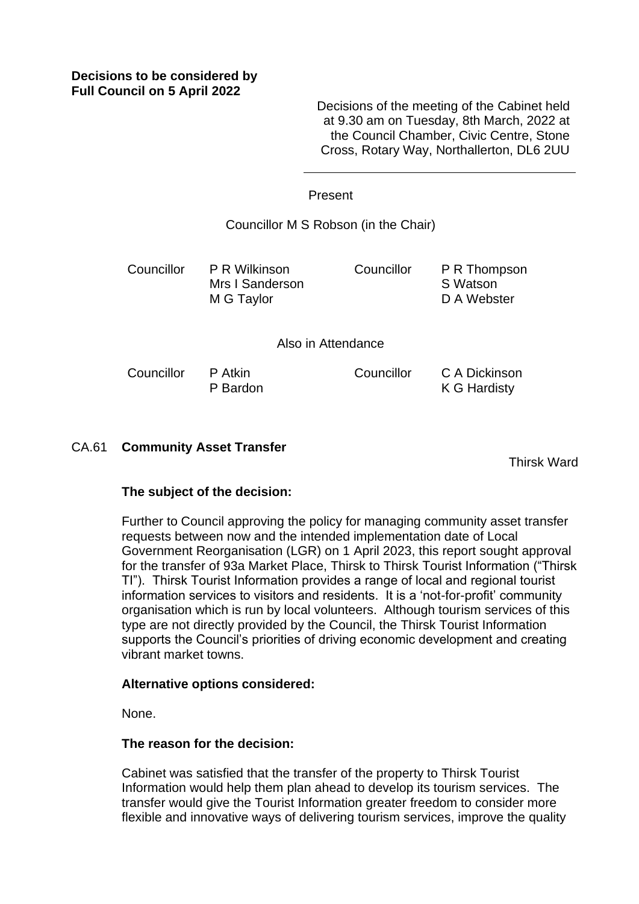# **Decisions to be considered by Full Council on 5 April 2022**

Decisions of the meeting of the Cabinet held at 9.30 am on Tuesday, 8th March, 2022 at the Council Chamber, Civic Centre, Stone Cross, Rotary Way, Northallerton, DL6 2UU

Councillor C A Dickinson

### Present

Councillor M S Robson (in the Chair)

Councillor P R Wilkinson Mrs I Sanderson M G Taylor

Councillor P R Thompson S Watson D A Webster

K G Hardisty

Also in Attendance

Councillor P Atkin P Bardon

CA.61 **Community Asset Transfer**

Thirsk Ward

## **The subject of the decision:**

Further to Council approving the policy for managing community asset transfer requests between now and the intended implementation date of Local Government Reorganisation (LGR) on 1 April 2023, this report sought approval for the transfer of 93a Market Place, Thirsk to Thirsk Tourist Information ("Thirsk TI"). Thirsk Tourist Information provides a range of local and regional tourist information services to visitors and residents. It is a 'not-for-profit' community organisation which is run by local volunteers. Although tourism services of this type are not directly provided by the Council, the Thirsk Tourist Information supports the Council's priorities of driving economic development and creating vibrant market towns.

## **Alternative options considered:**

None.

## **The reason for the decision:**

Cabinet was satisfied that the transfer of the property to Thirsk Tourist Information would help them plan ahead to develop its tourism services. The transfer would give the Tourist Information greater freedom to consider more flexible and innovative ways of delivering tourism services, improve the quality